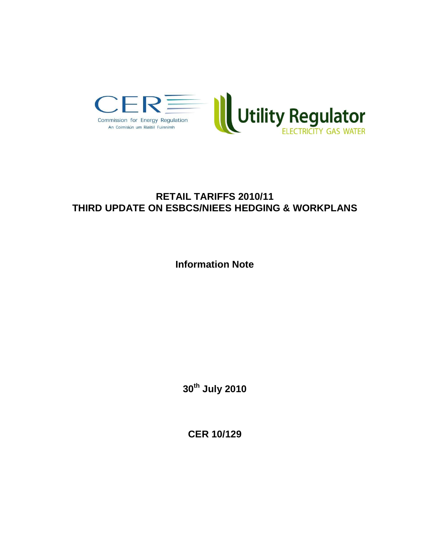

# **RETAIL TARIFFS 2010/11 THIRD UPDATE ON ESBCS/NIEES HEDGING & WORKPLANS**

**Information Note**

**30th July 2010**

**CER 10/129**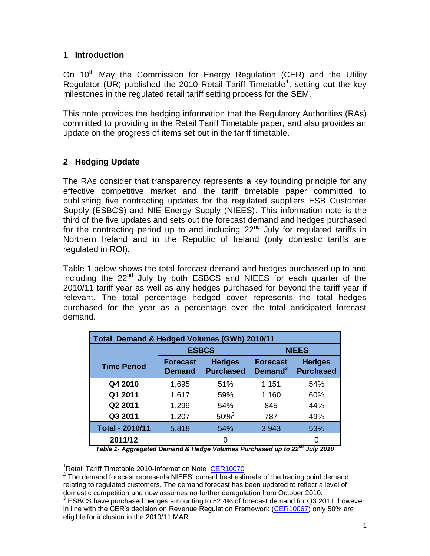#### **1 Introduction**

On  $10<sup>th</sup>$  May the Commission for Energy Regulation (CER) and the Utility Regulator (UR) published the 2010 Retail Tariff Timetable<sup>1</sup>, setting out the key milestones in the regulated retail tariff setting process for the SEM.

This note provides the hedging information that the Regulatory Authorities (RAs) committed to providing in the Retail Tariff Timetable paper, and also provides an update on the progress of items set out in the tariff timetable.

## **2 Hedging Update**

The RAs consider that transparency represents a key founding principle for any effective competitive market and the tariff timetable paper committed to publishing five contracting updates for the regulated suppliers ESB Customer Supply (ESBCS) and NIE Energy Supply (NIEES). This information note is the third of the five updates and sets out the forecast demand and hedges purchased for the contracting period up to and including  $22<sup>nd</sup>$  July for regulated tariffs in Northern Ireland and in the Republic of Ireland (only domestic tariffs are regulated in ROI).

Table 1 below shows the total forecast demand and hedges purchased up to and including the 22<sup>nd</sup> July by both ESBCS and NIEES for each quarter of the 2010/11 tariff year as well as any hedges purchased for beyond the tariff year if relevant. The total percentage hedged cover represents the total hedges purchased for the year as a percentage over the total anticipated forecast demand.

| Total Demand & Hedged Volumes (GWh) 2010/11 |                                  |                                   |                                        |                                   |  |  |
|---------------------------------------------|----------------------------------|-----------------------------------|----------------------------------------|-----------------------------------|--|--|
|                                             | <b>ESBCS</b>                     |                                   | <b>NIEES</b>                           |                                   |  |  |
| <b>Time Period</b>                          | <b>Forecast</b><br><b>Demand</b> | <b>Hedges</b><br><b>Purchased</b> | <b>Forecast</b><br>Demand <sup>2</sup> | <b>Hedges</b><br><b>Purchased</b> |  |  |
| Q4 2010                                     | 1,695                            | 51%                               | 1,151                                  | 54%                               |  |  |
| Q1 2011                                     | 1,617                            | 59%                               | 1,160                                  | 60%                               |  |  |
| Q2 2011                                     | 1,299                            | 54%                               | 845                                    | 44%                               |  |  |
| Q3 2011                                     | 1,207                            | $50\%^{3}$                        | 787                                    | 49%                               |  |  |
| <b>Total - 2010/11</b>                      | 5,818                            | 54%                               | 3,943                                  | 53%                               |  |  |
| 2011/12                                     |                                  | ი                                 |                                        |                                   |  |  |

*Table 1- Aggregated Demand & Hedge Volumes Purchased up to 22nd July 2010*

 <sup>1</sup>Retail Tariff Timetable 2010-Information Note [CER10070](http://www.cer.ie/en/electricity-retail-market-current-consultations.aspx?article=153f5e21-74d1-409d-90b0-ae887fb0391b)

 $2$  The demand forecast represents NIEES' current best estimate of the trading point demand relating to regulated customers. The demand forecast has been updated to reflect a level of domestic competition and now assumes no further deregulation from October 2010.

<sup>3</sup> ESBCS have purchased hedges amounting to 52.4% of forecast demand for Q3 2011, however in line with the CER's decision on Revenue Regulation Framework [\(CER10067\)](http://www.cer.ie/en/electricity-retail-market-current-consultations.aspx?article=8ce1df45-31c8-4460-9ab1-93de232a6df3) only 50% are eligible for inclusion in the 2010/11 MAR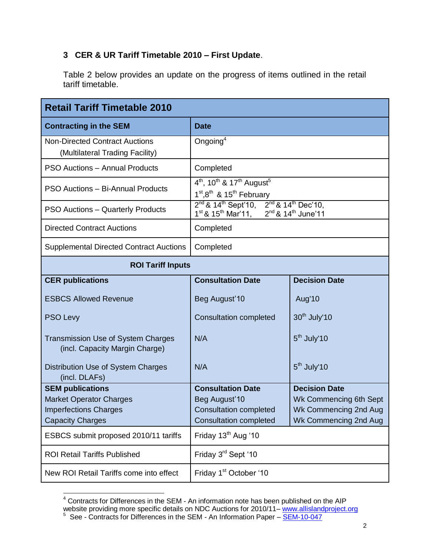### **3 CER & UR Tariff Timetable 2010 – First Update**.

Table 2 below provides an update on the progress of items outlined in the retail tariff timetable.

| <b>Retail Tariff Timetable 2010</b>                                                                                  |                                                                                                                                                                   |                                                                                                  |  |  |  |
|----------------------------------------------------------------------------------------------------------------------|-------------------------------------------------------------------------------------------------------------------------------------------------------------------|--------------------------------------------------------------------------------------------------|--|--|--|
| <b>Contracting in the SEM</b>                                                                                        | <b>Date</b>                                                                                                                                                       |                                                                                                  |  |  |  |
| <b>Non-Directed Contract Auctions</b><br>(Multilateral Trading Facility)                                             | Ongoing $4$                                                                                                                                                       |                                                                                                  |  |  |  |
| <b>PSO Auctions - Annual Products</b>                                                                                | Completed                                                                                                                                                         |                                                                                                  |  |  |  |
| PSO Auctions - Bi-Annual Products                                                                                    | $4^{th}$ , 10 <sup>th</sup> & 17 <sup>th</sup> August <sup>5</sup><br>1 <sup>st</sup> ,8 <sup>th</sup> & 15 <sup>th</sup> February                                |                                                                                                  |  |  |  |
| <b>PSO Auctions - Quarterly Products</b>                                                                             | $2^{nd}$ & 14 <sup>th</sup> Sept'10, $2^{nd}$ & 14 <sup>th</sup> Dec'10,<br>1 <sup>st</sup> & 15 <sup>th</sup> Mar'11, 2 <sup>nd</sup> & 14 <sup>th</sup> June'11 |                                                                                                  |  |  |  |
| <b>Directed Contract Auctions</b>                                                                                    | Completed                                                                                                                                                         |                                                                                                  |  |  |  |
| <b>Supplemental Directed Contract Auctions</b>                                                                       | Completed                                                                                                                                                         |                                                                                                  |  |  |  |
| <b>ROI Tariff Inputs</b>                                                                                             |                                                                                                                                                                   |                                                                                                  |  |  |  |
| <b>CER publications</b>                                                                                              | <b>Consultation Date</b>                                                                                                                                          | <b>Decision Date</b>                                                                             |  |  |  |
| <b>ESBCS Allowed Revenue</b>                                                                                         | Beg August'10                                                                                                                                                     | Aug'10                                                                                           |  |  |  |
| <b>PSO Levy</b>                                                                                                      | <b>Consultation completed</b>                                                                                                                                     | 30 <sup>th</sup> July'10                                                                         |  |  |  |
| <b>Transmission Use of System Charges</b><br>(incl. Capacity Margin Charge)                                          | N/A                                                                                                                                                               | $5th$ July'10                                                                                    |  |  |  |
| Distribution Use of System Charges<br>(incl. DLAFs)                                                                  | N/A                                                                                                                                                               | $5th$ July'10                                                                                    |  |  |  |
| <b>SEM publications</b><br><b>Market Operator Charges</b><br><b>Imperfections Charges</b><br><b>Capacity Charges</b> | <b>Consultation Date</b><br>Beg August'10<br><b>Consultation completed</b><br><b>Consultation completed</b>                                                       | <b>Decision Date</b><br>Wk Commencing 6th Sept<br>Wk Commencing 2nd Aug<br>Wk Commencing 2nd Aug |  |  |  |
| ESBCS submit proposed 2010/11 tariffs                                                                                | Friday 13 <sup>th</sup> Aug '10                                                                                                                                   |                                                                                                  |  |  |  |
| <b>ROI Retail Tariffs Published</b>                                                                                  | Friday 3rd Sept '10                                                                                                                                               |                                                                                                  |  |  |  |
| New ROI Retail Tariffs come into effect                                                                              | Friday 1 <sup>st</sup> October '10                                                                                                                                |                                                                                                  |  |  |  |

  $4$  Contracts for Differences in the SEM - An information note has been published on the AIP

website providing more specific details on NDC Auctions for 2010/11– <u>[www.allislandproject.org](http://www.allislandproject.org/)</u><br><sup>5</sup> See - Contracts for Differences in the SEM - An Information Paper – <u>[SEM-10-047](http://www.allislandproject.org/en/market_decision_documents.aspx?article=46dcc4ea-4ff1-45b0-8a60-d69d8aeffefb)</u>